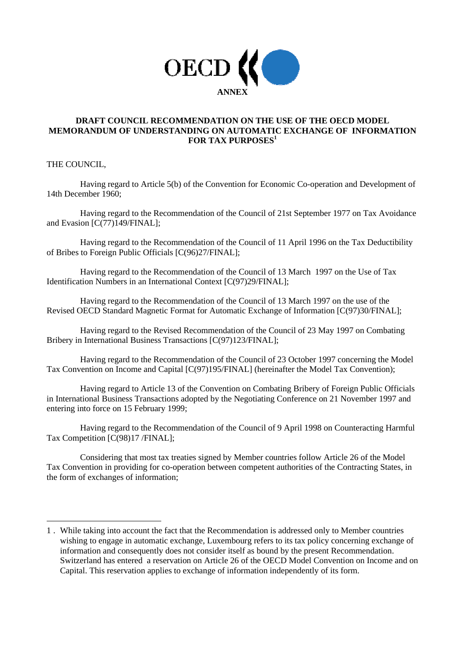

# **DRAFT COUNCIL RECOMMENDATION ON THE USE OF THE OECD MODEL MEMORANDUM OF UNDERSTANDING ON AUTOMATIC EXCHANGE OF INFORMATION FOR TAX PURPOSES1**

THE COUNCIL,

j

Having regard to Article 5(b) of the Convention for Economic Co-operation and Development of 14th December 1960;

Having regard to the Recommendation of the Council of 21st September 1977 on Tax Avoidance and Evasion [C(77)149/FINAL];

Having regard to the Recommendation of the Council of 11 April 1996 on the Tax Deductibility of Bribes to Foreign Public Officials [C(96)27/FINAL];

Having regard to the Recommendation of the Council of 13 March 1997 on the Use of Tax Identification Numbers in an International Context [C(97)29/FINAL];

Having regard to the Recommendation of the Council of 13 March 1997 on the use of the Revised OECD Standard Magnetic Format for Automatic Exchange of Information [C(97)30/FINAL];

Having regard to the Revised Recommendation of the Council of 23 May 1997 on Combating Bribery in International Business Transactions [C(97)123/FINAL];

Having regard to the Recommendation of the Council of 23 October 1997 concerning the Model Tax Convention on Income and Capital [C(97)195/FINAL] (hereinafter the Model Tax Convention);

Having regard to Article 13 of the Convention on Combating Bribery of Foreign Public Officials in International Business Transactions adopted by the Negotiating Conference on 21 November 1997 and entering into force on 15 February 1999;

Having regard to the Recommendation of the Council of 9 April 1998 on Counteracting Harmful Tax Competition [C(98)17 /FINAL];

Considering that most tax treaties signed by Member countries follow Article 26 of the Model Tax Convention in providing for co-operation between competent authorities of the Contracting States, in the form of exchanges of information;

<sup>1 .</sup> While taking into account the fact that the Recommendation is addressed only to Member countries wishing to engage in automatic exchange, Luxembourg refers to its tax policy concerning exchange of information and consequently does not consider itself as bound by the present Recommendation. Switzerland has entered a reservation on Article 26 of the OECD Model Convention on Income and on Capital. This reservation applies to exchange of information independently of its form.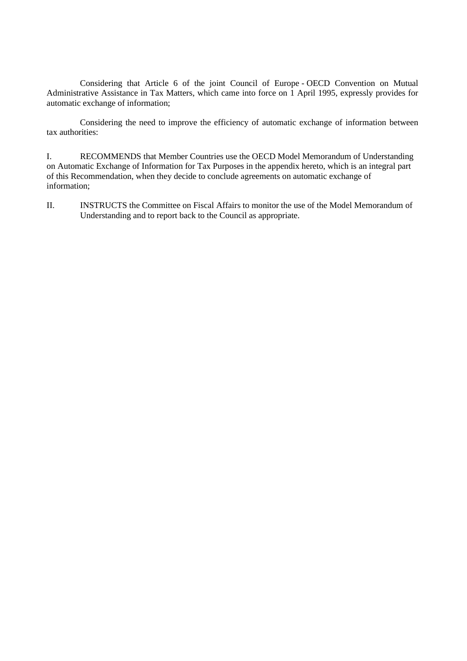Considering that Article 6 of the joint Council of Europe - OECD Convention on Mutual Administrative Assistance in Tax Matters, which came into force on 1 April 1995, expressly provides for automatic exchange of information;

Considering the need to improve the efficiency of automatic exchange of information between tax authorities:

I. RECOMMENDS that Member Countries use the OECD Model Memorandum of Understanding on Automatic Exchange of Information for Tax Purposes in the appendix hereto, which is an integral part of this Recommendation, when they decide to conclude agreements on automatic exchange of information;

II. INSTRUCTS the Committee on Fiscal Affairs to monitor the use of the Model Memorandum of Understanding and to report back to the Council as appropriate.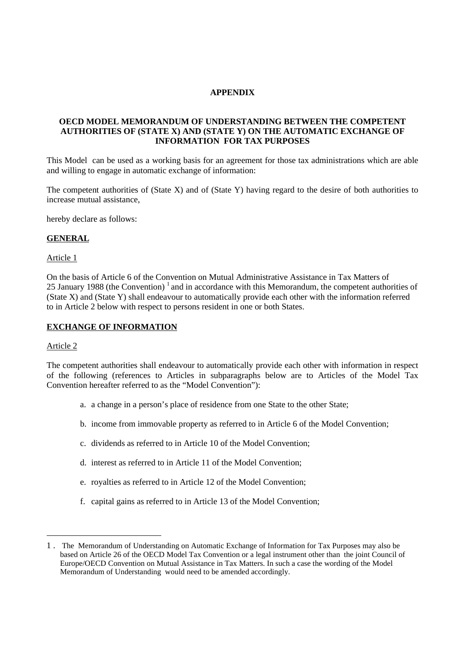### **APPENDIX**

# **OECD MODEL MEMORANDUM OF UNDERSTANDING BETWEEN THE COMPETENT AUTHORITIES OF (STATE X) AND (STATE Y) ON THE AUTOMATIC EXCHANGE OF INFORMATION FOR TAX PURPOSES**

This Model can be used as a working basis for an agreement for those tax administrations which are able and willing to engage in automatic exchange of information:

The competent authorities of (State X) and of (State Y) having regard to the desire of both authorities to increase mutual assistance,

hereby declare as follows:

### **GENERAL**

#### Article 1

On the basis of Article 6 of the Convention on Mutual Administrative Assistance in Tax Matters of 25 January 1988 (the Convention)<sup>1</sup> and in accordance with this Memorandum, the competent authorities of (State X) and (State Y) shall endeavour to automatically provide each other with the information referred to in Article 2 below with respect to persons resident in one or both States.

#### **EXCHANGE OF INFORMATION**

#### Article 2

The competent authorities shall endeavour to automatically provide each other with information in respect of the following (references to Articles in subparagraphs below are to Articles of the Model Tax Convention hereafter referred to as the "Model Convention"):

- a. a change in a person's place of residence from one State to the other State;
- b. income from immovable property as referred to in Article 6 of the Model Convention;
- c. dividends as referred to in Article 10 of the Model Convention;
- d. interest as referred to in Article 11 of the Model Convention;
- e. royalties as referred to in Article 12 of the Model Convention;
- f. capital gains as referred to in Article 13 of the Model Convention;

<sup>1 .</sup> The Memorandum of Understanding on Automatic Exchange of Information for Tax Purposes may also be based on Article 26 of the OECD Model Tax Convention or a legal instrument other than the joint Council of Europe/OECD Convention on Mutual Assistance in Tax Matters. In such a case the wording of the Model Memorandum of Understanding would need to be amended accordingly.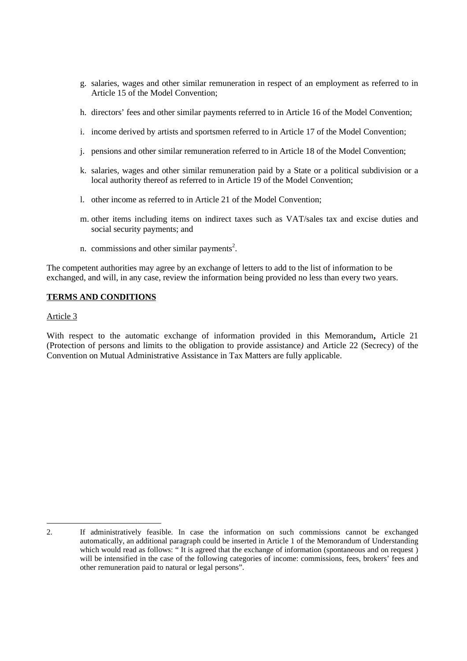- g. salaries, wages and other similar remuneration in respect of an employment as referred to in Article 15 of the Model Convention;
- h. directors' fees and other similar payments referred to in Article 16 of the Model Convention;
- i. income derived by artists and sportsmen referred to in Article 17 of the Model Convention;
- j. pensions and other similar remuneration referred to in Article 18 of the Model Convention;
- k. salaries, wages and other similar remuneration paid by a State or a political subdivision or a local authority thereof as referred to in Article 19 of the Model Convention;
- l. other income as referred to in Article 21 of the Model Convention;
- m. other items including items on indirect taxes such as VAT/sales tax and excise duties and social security payments; and
- n. commissions and other similar payments<sup>2</sup>.

The competent authorities may agree by an exchange of letters to add to the list of information to be exchanged, and will, in any case, review the information being provided no less than every two years.

### **TERMS AND CONDITIONS**

#### Article 3

-

With respect to the automatic exchange of information provided in this Memorandum**,** Article 21 (Protection of persons and limits to the obligation to provide assistance*)* and Article 22 (Secrecy) of the Convention on Mutual Administrative Assistance in Tax Matters are fully applicable.

<sup>2.</sup> If administratively feasible. In case the information on such commissions cannot be exchanged automatically, an additional paragraph could be inserted in Article 1 of the Memorandum of Understanding which would read as follows: "It is agreed that the exchange of information (spontaneous and on request) will be intensified in the case of the following categories of income: commissions, fees, brokers' fees and other remuneration paid to natural or legal persons".